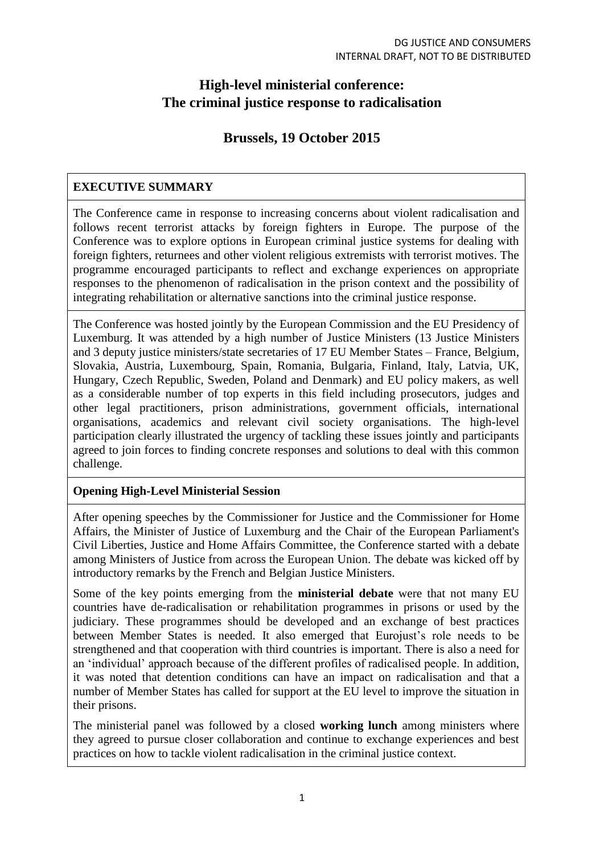# **High-level ministerial conference: The criminal justice response to radicalisation**

# **Brussels, 19 October 2015**

## **EXECUTIVE SUMMARY**

The Conference came in response to increasing concerns about violent radicalisation and follows recent terrorist attacks by foreign fighters in Europe. The purpose of the Conference was to explore options in European criminal justice systems for dealing with foreign fighters, returnees and other violent religious extremists with terrorist motives. The programme encouraged participants to reflect and exchange experiences on appropriate responses to the phenomenon of radicalisation in the prison context and the possibility of integrating rehabilitation or alternative sanctions into the criminal justice response.

The Conference was hosted jointly by the European Commission and the EU Presidency of Luxemburg. It was attended by a high number of Justice Ministers (13 Justice Ministers and 3 deputy justice ministers/state secretaries of 17 EU Member States – France, Belgium, Slovakia, Austria, Luxembourg, Spain, Romania, Bulgaria, Finland, Italy, Latvia, UK, Hungary, Czech Republic, Sweden, Poland and Denmark) and EU policy makers, as well as a considerable number of top experts in this field including prosecutors, judges and other legal practitioners, prison administrations, government officials, international organisations, academics and relevant civil society organisations. The high-level participation clearly illustrated the urgency of tackling these issues jointly and participants agreed to join forces to finding concrete responses and solutions to deal with this common challenge.

## **Opening High-Level Ministerial Session**

After opening speeches by the Commissioner for Justice and the Commissioner for Home Affairs, the Minister of Justice of Luxemburg and the Chair of the European Parliament's Civil Liberties, Justice and Home Affairs Committee, the Conference started with a debate among Ministers of Justice from across the European Union. The debate was kicked off by introductory remarks by the French and Belgian Justice Ministers.

Some of the key points emerging from the **ministerial debate** were that not many EU countries have de-radicalisation or rehabilitation programmes in prisons or used by the judiciary. These programmes should be developed and an exchange of best practices between Member States is needed. It also emerged that Eurojust's role needs to be strengthened and that cooperation with third countries is important. There is also a need for an 'individual' approach because of the different profiles of radicalised people. In addition, it was noted that detention conditions can have an impact on radicalisation and that a number of Member States has called for support at the EU level to improve the situation in their prisons.

The ministerial panel was followed by a closed **working lunch** among ministers where they agreed to pursue closer collaboration and continue to exchange experiences and best practices on how to tackle violent radicalisation in the criminal justice context.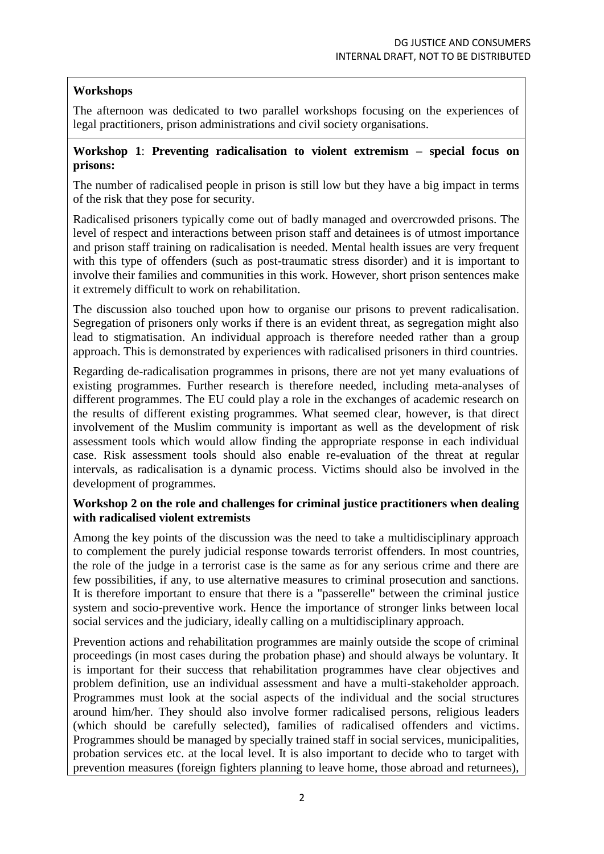## **Workshops**

The afternoon was dedicated to two parallel workshops focusing on the experiences of legal practitioners, prison administrations and civil society organisations.

## **Workshop 1**: **Preventing radicalisation to violent extremism – special focus on prisons:**

The number of radicalised people in prison is still low but they have a big impact in terms of the risk that they pose for security.

Radicalised prisoners typically come out of badly managed and overcrowded prisons. The level of respect and interactions between prison staff and detainees is of utmost importance and prison staff training on radicalisation is needed. Mental health issues are very frequent with this type of offenders (such as post-traumatic stress disorder) and it is important to involve their families and communities in this work. However, short prison sentences make it extremely difficult to work on rehabilitation.

The discussion also touched upon how to organise our prisons to prevent radicalisation. Segregation of prisoners only works if there is an evident threat, as segregation might also lead to stigmatisation. An individual approach is therefore needed rather than a group approach. This is demonstrated by experiences with radicalised prisoners in third countries.

Regarding de-radicalisation programmes in prisons, there are not yet many evaluations of existing programmes. Further research is therefore needed, including meta-analyses of different programmes. The EU could play a role in the exchanges of academic research on the results of different existing programmes. What seemed clear, however, is that direct involvement of the Muslim community is important as well as the development of risk assessment tools which would allow finding the appropriate response in each individual case. Risk assessment tools should also enable re-evaluation of the threat at regular intervals, as radicalisation is a dynamic process. Victims should also be involved in the development of programmes.

## **Workshop 2 on the role and challenges for criminal justice practitioners when dealing with radicalised violent extremists**

Among the key points of the discussion was the need to take a multidisciplinary approach to complement the purely judicial response towards terrorist offenders. In most countries, the role of the judge in a terrorist case is the same as for any serious crime and there are few possibilities, if any, to use alternative measures to criminal prosecution and sanctions. It is therefore important to ensure that there is a "passerelle" between the criminal justice system and socio-preventive work. Hence the importance of stronger links between local social services and the judiciary, ideally calling on a multidisciplinary approach.

Prevention actions and rehabilitation programmes are mainly outside the scope of criminal proceedings (in most cases during the probation phase) and should always be voluntary. It is important for their success that rehabilitation programmes have clear objectives and problem definition, use an individual assessment and have a multi-stakeholder approach. Programmes must look at the social aspects of the individual and the social structures around him/her. They should also involve former radicalised persons, religious leaders (which should be carefully selected), families of radicalised offenders and victims. Programmes should be managed by specially trained staff in social services, municipalities, probation services etc. at the local level. It is also important to decide who to target with prevention measures (foreign fighters planning to leave home, those abroad and returnees),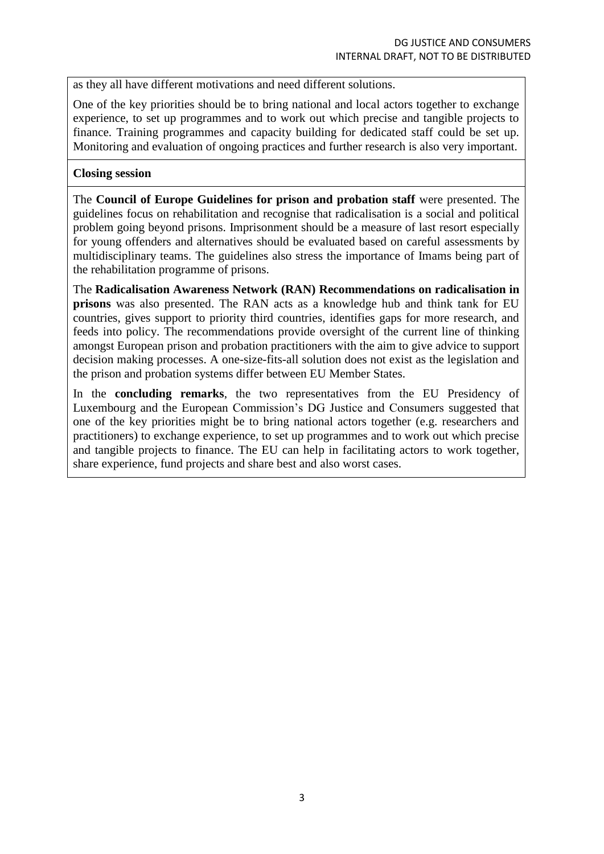as they all have different motivations and need different solutions.

One of the key priorities should be to bring national and local actors together to exchange experience, to set up programmes and to work out which precise and tangible projects to finance. Training programmes and capacity building for dedicated staff could be set up. Monitoring and evaluation of ongoing practices and further research is also very important.

## **Closing session**

The **Council of Europe Guidelines for prison and probation staff** were presented. The guidelines focus on rehabilitation and recognise that radicalisation is a social and political problem going beyond prisons. Imprisonment should be a measure of last resort especially for young offenders and alternatives should be evaluated based on careful assessments by multidisciplinary teams. The guidelines also stress the importance of Imams being part of the rehabilitation programme of prisons.

The **Radicalisation Awareness Network (RAN) Recommendations on radicalisation in prisons** was also presented. The RAN acts as a knowledge hub and think tank for EU countries, gives support to priority third countries, identifies gaps for more research, and feeds into policy. The recommendations provide oversight of the current line of thinking amongst European prison and probation practitioners with the aim to give advice to support decision making processes. A one-size-fits-all solution does not exist as the legislation and the prison and probation systems differ between EU Member States.

In the **concluding remarks**, the two representatives from the EU Presidency of Luxembourg and the European Commission's DG Justice and Consumers suggested that one of the key priorities might be to bring national actors together (e.g. researchers and practitioners) to exchange experience, to set up programmes and to work out which precise and tangible projects to finance. The EU can help in facilitating actors to work together, share experience, fund projects and share best and also worst cases.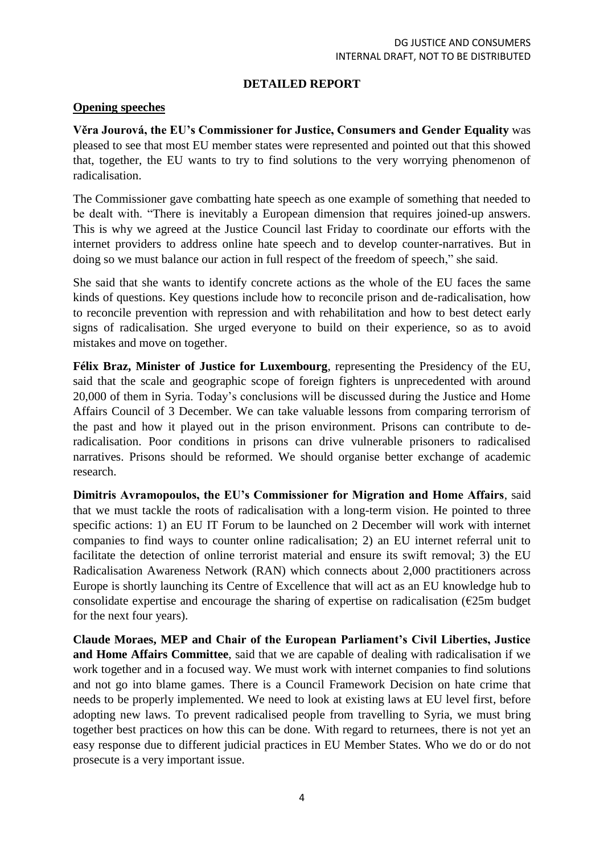## **DETAILED REPORT**

## **Opening speeches**

**Věra Jourová, the EU's Commissioner for Justice, Consumers and Gender Equality** was pleased to see that most EU member states were represented and pointed out that this showed that, together, the EU wants to try to find solutions to the very worrying phenomenon of radicalisation.

The Commissioner gave combatting hate speech as one example of something that needed to be dealt with. "There is inevitably a European dimension that requires joined-up answers. This is why we agreed at the Justice Council last Friday to coordinate our efforts with the internet providers to address online hate speech and to develop counter-narratives. But in doing so we must balance our action in full respect of the freedom of speech," she said.

She said that she wants to identify concrete actions as the whole of the EU faces the same kinds of questions. Key questions include how to reconcile prison and de-radicalisation, how to reconcile prevention with repression and with rehabilitation and how to best detect early signs of radicalisation. She urged everyone to build on their experience, so as to avoid mistakes and move on together.

**Félix Braz, Minister of Justice for Luxembourg**, representing the Presidency of the EU, said that the scale and geographic scope of foreign fighters is unprecedented with around 20,000 of them in Syria. Today's conclusions will be discussed during the Justice and Home Affairs Council of 3 December. We can take valuable lessons from comparing terrorism of the past and how it played out in the prison environment. Prisons can contribute to deradicalisation. Poor conditions in prisons can drive vulnerable prisoners to radicalised narratives. Prisons should be reformed. We should organise better exchange of academic research.

**Dimitris Avramopoulos, the EU's Commissioner for Migration and Home Affairs**, said that we must tackle the roots of radicalisation with a long-term vision. He pointed to three specific actions: 1) an EU IT Forum to be launched on 2 December will work with internet companies to find ways to counter online radicalisation; 2) an EU internet referral unit to facilitate the detection of online terrorist material and ensure its swift removal; 3) the EU Radicalisation Awareness Network (RAN) which connects about 2,000 practitioners across Europe is shortly launching its Centre of Excellence that will act as an EU knowledge hub to consolidate expertise and encourage the sharing of expertise on radicalisation ( $E25m$  budget for the next four years).

**Claude Moraes, MEP and Chair of the European Parliament's Civil Liberties, Justice and Home Affairs Committee**, said that we are capable of dealing with radicalisation if we work together and in a focused way. We must work with internet companies to find solutions and not go into blame games. There is a Council Framework Decision on hate crime that needs to be properly implemented. We need to look at existing laws at EU level first, before adopting new laws. To prevent radicalised people from travelling to Syria, we must bring together best practices on how this can be done. With regard to returnees, there is not yet an easy response due to different judicial practices in EU Member States. Who we do or do not prosecute is a very important issue.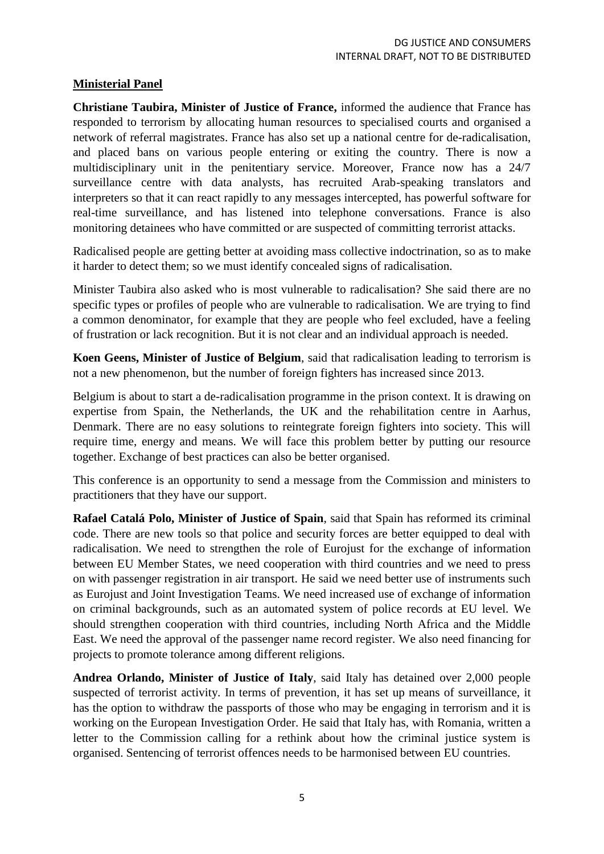## **Ministerial Panel**

**Christiane Taubira, Minister of Justice of France,** informed the audience that France has responded to terrorism by allocating human resources to specialised courts and organised a network of referral magistrates. France has also set up a national centre for de-radicalisation, and placed bans on various people entering or exiting the country. There is now a multidisciplinary unit in the penitentiary service. Moreover, France now has a 24/7 surveillance centre with data analysts, has recruited Arab-speaking translators and interpreters so that it can react rapidly to any messages intercepted, has powerful software for real-time surveillance, and has listened into telephone conversations. France is also monitoring detainees who have committed or are suspected of committing terrorist attacks.

Radicalised people are getting better at avoiding mass collective indoctrination, so as to make it harder to detect them; so we must identify concealed signs of radicalisation.

Minister Taubira also asked who is most vulnerable to radicalisation? She said there are no specific types or profiles of people who are vulnerable to radicalisation. We are trying to find a common denominator, for example that they are people who feel excluded, have a feeling of frustration or lack recognition. But it is not clear and an individual approach is needed.

**Koen Geens, Minister of Justice of Belgium**, said that radicalisation leading to terrorism is not a new phenomenon, but the number of foreign fighters has increased since 2013.

Belgium is about to start a de-radicalisation programme in the prison context. It is drawing on expertise from Spain, the Netherlands, the UK and the rehabilitation centre in Aarhus, Denmark. There are no easy solutions to reintegrate foreign fighters into society. This will require time, energy and means. We will face this problem better by putting our resource together. Exchange of best practices can also be better organised.

This conference is an opportunity to send a message from the Commission and ministers to practitioners that they have our support.

**Rafael Catalá Polo, Minister of Justice of Spain**, said that Spain has reformed its criminal code. There are new tools so that police and security forces are better equipped to deal with radicalisation. We need to strengthen the role of Eurojust for the exchange of information between EU Member States, we need cooperation with third countries and we need to press on with passenger registration in air transport. He said we need better use of instruments such as Eurojust and Joint Investigation Teams. We need increased use of exchange of information on criminal backgrounds, such as an automated system of police records at EU level. We should strengthen cooperation with third countries, including North Africa and the Middle East. We need the approval of the passenger name record register. We also need financing for projects to promote tolerance among different religions.

**Andrea Orlando, Minister of Justice of Italy**, said Italy has detained over 2,000 people suspected of terrorist activity. In terms of prevention, it has set up means of surveillance, it has the option to withdraw the passports of those who may be engaging in terrorism and it is working on the European Investigation Order. He said that Italy has, with Romania, written a letter to the Commission calling for a rethink about how the criminal justice system is organised. Sentencing of terrorist offences needs to be harmonised between EU countries.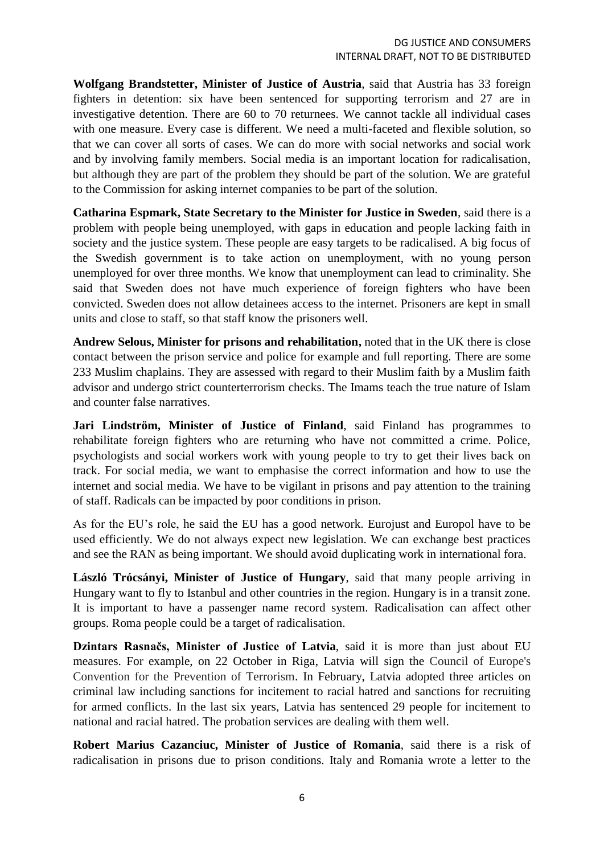#### DG JUSTICE AND CONSUMERS INTERNAL DRAFT, NOT TO BE DISTRIBUTED

**Wolfgang Brandstetter, Minister of Justice of Austria**, said that Austria has 33 foreign fighters in detention: six have been sentenced for supporting terrorism and 27 are in investigative detention. There are 60 to 70 returnees. We cannot tackle all individual cases with one measure. Every case is different. We need a multi-faceted and flexible solution, so that we can cover all sorts of cases. We can do more with social networks and social work and by involving family members. Social media is an important location for radicalisation, but although they are part of the problem they should be part of the solution. We are grateful to the Commission for asking internet companies to be part of the solution.

**Catharina Espmark, State Secretary to the Minister for Justice in Sweden**, said there is a problem with people being unemployed, with gaps in education and people lacking faith in society and the justice system. These people are easy targets to be radicalised. A big focus of the Swedish government is to take action on unemployment, with no young person unemployed for over three months. We know that unemployment can lead to criminality. She said that Sweden does not have much experience of foreign fighters who have been convicted. Sweden does not allow detainees access to the internet. Prisoners are kept in small units and close to staff, so that staff know the prisoners well.

**Andrew Selous, Minister for prisons and rehabilitation,** noted that in the UK there is close contact between the prison service and police for example and full reporting. There are some 233 Muslim chaplains. They are assessed with regard to their Muslim faith by a Muslim faith advisor and undergo strict counterterrorism checks. The Imams teach the true nature of Islam and counter false narratives.

**Jari Lindström, Minister of Justice of Finland**, said Finland has programmes to rehabilitate foreign fighters who are returning who have not committed a crime. Police, psychologists and social workers work with young people to try to get their lives back on track. For social media, we want to emphasise the correct information and how to use the internet and social media. We have to be vigilant in prisons and pay attention to the training of staff. Radicals can be impacted by poor conditions in prison.

As for the EU's role, he said the EU has a good network. Eurojust and Europol have to be used efficiently. We do not always expect new legislation. We can exchange best practices and see the RAN as being important. We should avoid duplicating work in international fora.

**László Trócsányi, Minister of Justice of Hungary**, said that many people arriving in Hungary want to fly to Istanbul and other countries in the region. Hungary is in a transit zone. It is important to have a passenger name record system. Radicalisation can affect other groups. Roma people could be a target of radicalisation.

**Dzintars Rasnačs, Minister of Justice of Latvia**, said it is more than just about EU measures. For example, on 22 October in Riga, Latvia will sign the Council of Europe's Convention for the Prevention of Terrorism. In February, Latvia adopted three articles on criminal law including sanctions for incitement to racial hatred and sanctions for recruiting for armed conflicts. In the last six years, Latvia has sentenced 29 people for incitement to national and racial hatred. The probation services are dealing with them well.

**Robert Marius Cazanciuc, Minister of Justice of Romania**, said there is a risk of radicalisation in prisons due to prison conditions. Italy and Romania wrote a letter to the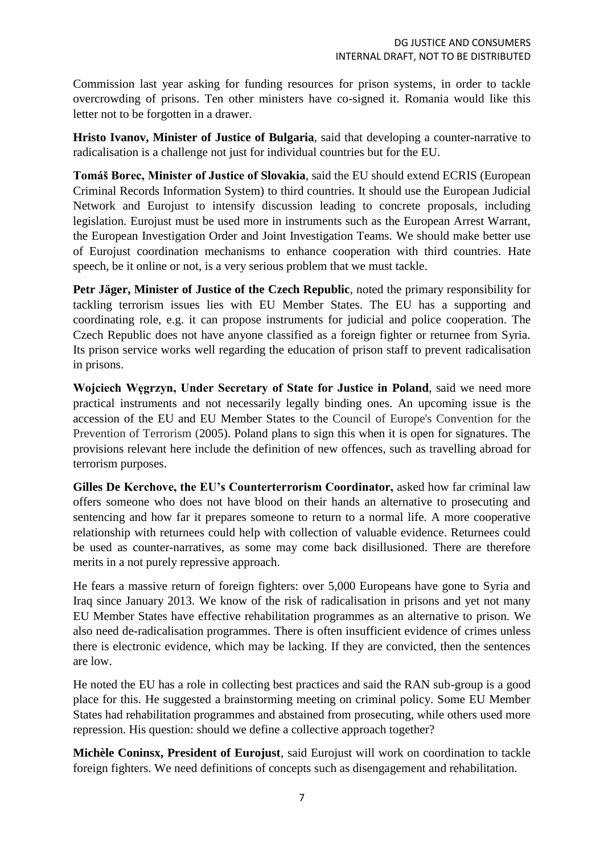Commission last year asking for funding resources for prison systems, in order to tackle overcrowding of prisons. Ten other ministers have co-signed it. Romania would like this letter not to be forgotten in a drawer.

**Hristo Ivanov, Minister of Justice of Bulgaria**, said that developing a counter-narrative to radicalisation is a challenge not just for individual countries but for the EU.

**Tomáš Borec, Minister of Justice of Slovakia**, said the EU should extend ECRIS (European Criminal Records Information System) to third countries. It should use the European Judicial Network and Eurojust to intensify discussion leading to concrete proposals, including legislation. Eurojust must be used more in instruments such as the European Arrest Warrant, the European Investigation Order and Joint Investigation Teams. We should make better use of Eurojust coordination mechanisms to enhance cooperation with third countries. Hate speech, be it online or not, is a very serious problem that we must tackle.

**Petr Jäger, Minister of Justice of the Czech Republic**, noted the primary responsibility for tackling terrorism issues lies with EU Member States. The EU has a supporting and coordinating role, e.g. it can propose instruments for judicial and police cooperation. The Czech Republic does not have anyone classified as a foreign fighter or returnee from Syria. Its prison service works well regarding the education of prison staff to prevent radicalisation in prisons.

**Wojciech Węgrzyn, Under Secretary of State for Justice in Poland**, said we need more practical instruments and not necessarily legally binding ones. An upcoming issue is the accession of the EU and EU Member States to the Council of Europe's Convention for the Prevention of Terrorism (2005). Poland plans to sign this when it is open for signatures. The provisions relevant here include the definition of new offences, such as travelling abroad for terrorism purposes.

**Gilles De Kerchove, the EU's Counterterrorism Coordinator,** asked how far criminal law offers someone who does not have blood on their hands an alternative to prosecuting and sentencing and how far it prepares someone to return to a normal life. A more cooperative relationship with returnees could help with collection of valuable evidence. Returnees could be used as counter-narratives, as some may come back disillusioned. There are therefore merits in a not purely repressive approach.

He fears a massive return of foreign fighters: over 5,000 Europeans have gone to Syria and Iraq since January 2013. We know of the risk of radicalisation in prisons and yet not many EU Member States have effective rehabilitation programmes as an alternative to prison. We also need de-radicalisation programmes. There is often insufficient evidence of crimes unless there is electronic evidence, which may be lacking. If they are convicted, then the sentences are low.

He noted the EU has a role in collecting best practices and said the RAN sub-group is a good place for this. He suggested a brainstorming meeting on criminal policy. Some EU Member States had rehabilitation programmes and abstained from prosecuting, while others used more repression. His question: should we define a collective approach together?

**Michèle Coninsx, President of Eurojust**, said Eurojust will work on coordination to tackle foreign fighters. We need definitions of concepts such as disengagement and rehabilitation.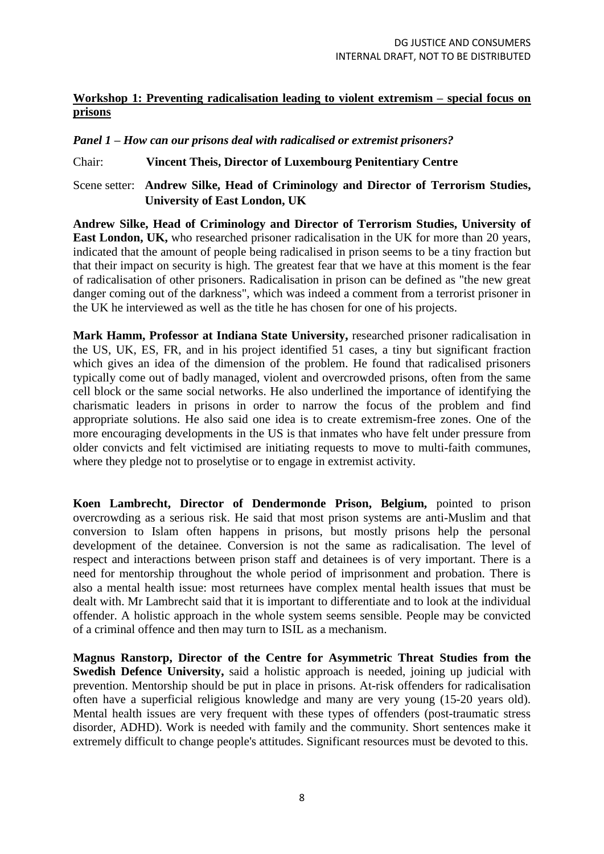## **Workshop 1: Preventing radicalisation leading to violent extremism – special focus on prisons**

#### *Panel 1 – How can our prisons deal with radicalised or extremist prisoners?*

#### Chair: **Vincent Theis, Director of Luxembourg Penitentiary Centre**

Scene setter: **Andrew Silke, Head of Criminology and Director of Terrorism Studies, University of East London, UK**

**Andrew Silke, Head of Criminology and Director of Terrorism Studies, University of East London, UK,** who researched prisoner radicalisation in the UK for more than 20 years, indicated that the amount of people being radicalised in prison seems to be a tiny fraction but that their impact on security is high. The greatest fear that we have at this moment is the fear of radicalisation of other prisoners. Radicalisation in prison can be defined as "the new great danger coming out of the darkness", which was indeed a comment from a terrorist prisoner in the UK he interviewed as well as the title he has chosen for one of his projects.

**Mark Hamm, Professor at Indiana State University,** researched prisoner radicalisation in the US, UK, ES, FR, and in his project identified 51 cases, a tiny but significant fraction which gives an idea of the dimension of the problem. He found that radicalised prisoners typically come out of badly managed, violent and overcrowded prisons, often from the same cell block or the same social networks. He also underlined the importance of identifying the charismatic leaders in prisons in order to narrow the focus of the problem and find appropriate solutions. He also said one idea is to create extremism-free zones. One of the more encouraging developments in the US is that inmates who have felt under pressure from older convicts and felt victimised are initiating requests to move to multi-faith communes, where they pledge not to proselytise or to engage in extremist activity.

**Koen Lambrecht, Director of Dendermonde Prison, Belgium,** pointed to prison overcrowding as a serious risk. He said that most prison systems are anti-Muslim and that conversion to Islam often happens in prisons, but mostly prisons help the personal development of the detainee. Conversion is not the same as radicalisation. The level of respect and interactions between prison staff and detainees is of very important. There is a need for mentorship throughout the whole period of imprisonment and probation. There is also a mental health issue: most returnees have complex mental health issues that must be dealt with. Mr Lambrecht said that it is important to differentiate and to look at the individual offender. A holistic approach in the whole system seems sensible. People may be convicted of a criminal offence and then may turn to ISIL as a mechanism.

**Magnus Ranstorp, Director of the Centre for Asymmetric Threat Studies from the Swedish Defence University,** said a holistic approach is needed, joining up judicial with prevention. Mentorship should be put in place in prisons. At-risk offenders for radicalisation often have a superficial religious knowledge and many are very young (15-20 years old). Mental health issues are very frequent with these types of offenders (post-traumatic stress disorder, ADHD). Work is needed with family and the community. Short sentences make it extremely difficult to change people's attitudes. Significant resources must be devoted to this.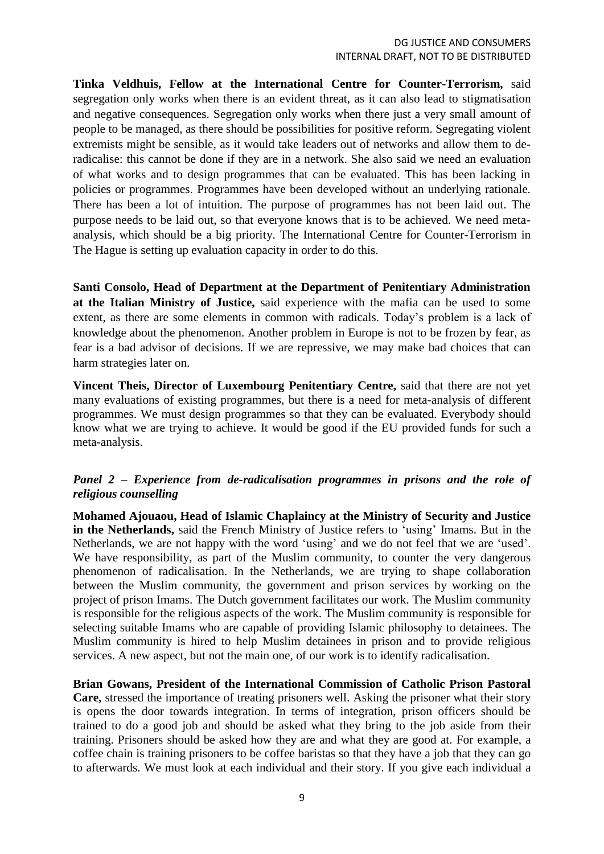#### DG JUSTICE AND CONSUMERS INTERNAL DRAFT, NOT TO BE DISTRIBUTED

**Tinka Veldhuis, Fellow at the International Centre for Counter-Terrorism,** said segregation only works when there is an evident threat, as it can also lead to stigmatisation and negative consequences. Segregation only works when there just a very small amount of people to be managed, as there should be possibilities for positive reform. Segregating violent extremists might be sensible, as it would take leaders out of networks and allow them to deradicalise: this cannot be done if they are in a network. She also said we need an evaluation of what works and to design programmes that can be evaluated. This has been lacking in policies or programmes. Programmes have been developed without an underlying rationale. There has been a lot of intuition. The purpose of programmes has not been laid out. The purpose needs to be laid out, so that everyone knows that is to be achieved. We need metaanalysis, which should be a big priority. The International Centre for Counter-Terrorism in The Hague is setting up evaluation capacity in order to do this.

**Santi Consolo, Head of Department at the Department of Penitentiary Administration at the Italian Ministry of Justice,** said experience with the mafia can be used to some extent, as there are some elements in common with radicals. Today's problem is a lack of knowledge about the phenomenon. Another problem in Europe is not to be frozen by fear, as fear is a bad advisor of decisions. If we are repressive, we may make bad choices that can harm strategies later on.

**Vincent Theis, Director of Luxembourg Penitentiary Centre,** said that there are not yet many evaluations of existing programmes, but there is a need for meta-analysis of different programmes. We must design programmes so that they can be evaluated. Everybody should know what we are trying to achieve. It would be good if the EU provided funds for such a meta-analysis.

## *Panel 2 – Experience from de-radicalisation programmes in prisons and the role of religious counselling*

**Mohamed Ajouaou, Head of Islamic Chaplaincy at the Ministry of Security and Justice in the Netherlands,** said the French Ministry of Justice refers to 'using' Imams. But in the Netherlands, we are not happy with the word 'using' and we do not feel that we are 'used'. We have responsibility, as part of the Muslim community, to counter the very dangerous phenomenon of radicalisation. In the Netherlands, we are trying to shape collaboration between the Muslim community, the government and prison services by working on the project of prison Imams. The Dutch government facilitates our work. The Muslim community is responsible for the religious aspects of the work. The Muslim community is responsible for selecting suitable Imams who are capable of providing Islamic philosophy to detainees. The Muslim community is hired to help Muslim detainees in prison and to provide religious services. A new aspect, but not the main one, of our work is to identify radicalisation.

**Brian Gowans, President of the International Commission of Catholic Prison Pastoral Care,** stressed the importance of treating prisoners well. Asking the prisoner what their story is opens the door towards integration. In terms of integration, prison officers should be trained to do a good job and should be asked what they bring to the job aside from their training. Prisoners should be asked how they are and what they are good at. For example, a coffee chain is training prisoners to be coffee baristas so that they have a job that they can go to afterwards. We must look at each individual and their story. If you give each individual a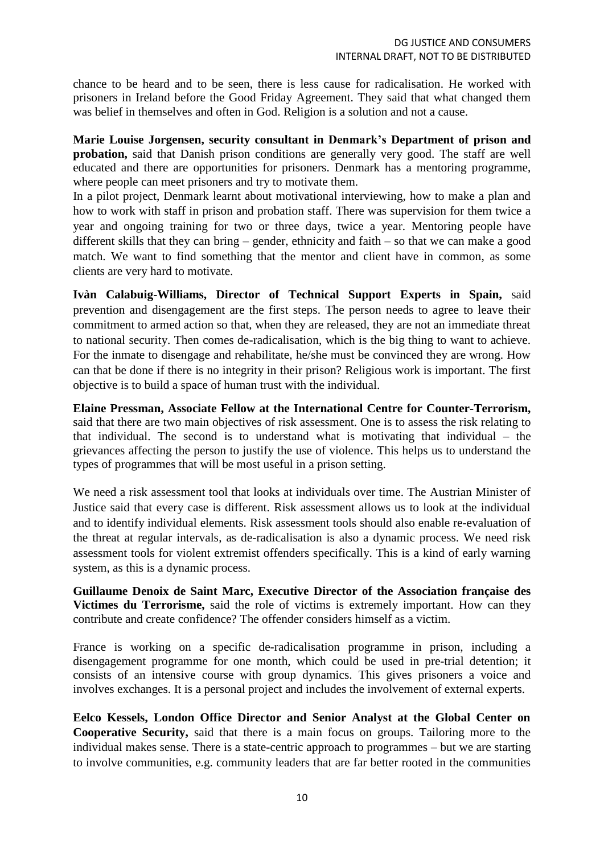chance to be heard and to be seen, there is less cause for radicalisation. He worked with prisoners in Ireland before the Good Friday Agreement. They said that what changed them was belief in themselves and often in God. Religion is a solution and not a cause.

**Marie Louise Jorgensen, security consultant in Denmark's Department of prison and probation,** said that Danish prison conditions are generally very good. The staff are well educated and there are opportunities for prisoners. Denmark has a mentoring programme, where people can meet prisoners and try to motivate them.

In a pilot project, Denmark learnt about motivational interviewing, how to make a plan and how to work with staff in prison and probation staff. There was supervision for them twice a year and ongoing training for two or three days, twice a year. Mentoring people have different skills that they can bring – gender, ethnicity and faith – so that we can make a good match. We want to find something that the mentor and client have in common, as some clients are very hard to motivate.

**Ivàn Calabuig-Williams, Director of Technical Support Experts in Spain,** said prevention and disengagement are the first steps. The person needs to agree to leave their commitment to armed action so that, when they are released, they are not an immediate threat to national security. Then comes de-radicalisation, which is the big thing to want to achieve. For the inmate to disengage and rehabilitate, he/she must be convinced they are wrong. How can that be done if there is no integrity in their prison? Religious work is important. The first objective is to build a space of human trust with the individual.

**Elaine Pressman, Associate Fellow at the International Centre for Counter-Terrorism,** said that there are two main objectives of risk assessment. One is to assess the risk relating to that individual. The second is to understand what is motivating that individual – the grievances affecting the person to justify the use of violence. This helps us to understand the types of programmes that will be most useful in a prison setting.

We need a risk assessment tool that looks at individuals over time. The Austrian Minister of Justice said that every case is different. Risk assessment allows us to look at the individual and to identify individual elements. Risk assessment tools should also enable re-evaluation of the threat at regular intervals, as de-radicalisation is also a dynamic process. We need risk assessment tools for violent extremist offenders specifically. This is a kind of early warning system, as this is a dynamic process.

**Guillaume Denoix de Saint Marc, Executive Director of the Association française des Victimes du Terrorisme,** said the role of victims is extremely important. How can they contribute and create confidence? The offender considers himself as a victim.

France is working on a specific de-radicalisation programme in prison, including a disengagement programme for one month, which could be used in pre-trial detention; it consists of an intensive course with group dynamics. This gives prisoners a voice and involves exchanges. It is a personal project and includes the involvement of external experts.

**Eelco Kessels, London Office Director and Senior Analyst at the Global Center on Cooperative Security,** said that there is a main focus on groups. Tailoring more to the individual makes sense. There is a state-centric approach to programmes – but we are starting to involve communities, e.g. community leaders that are far better rooted in the communities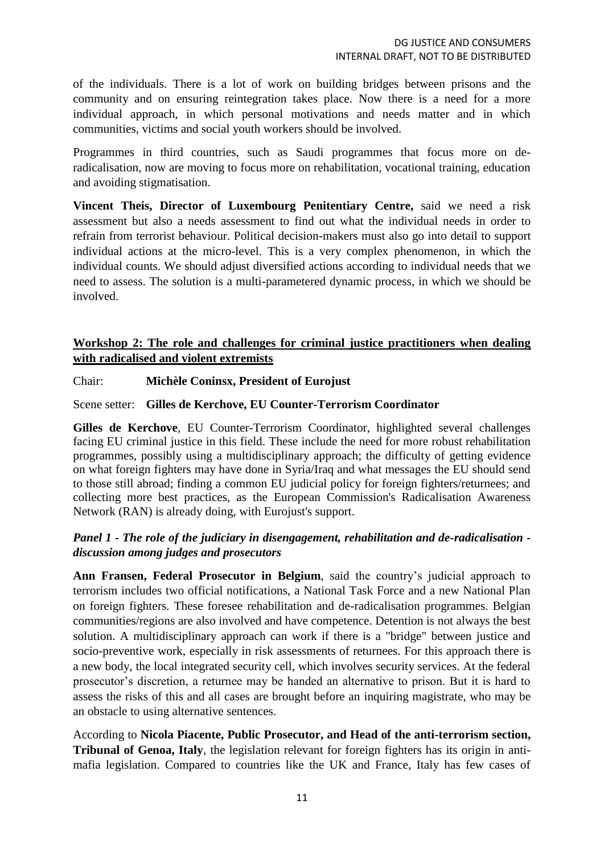of the individuals. There is a lot of work on building bridges between prisons and the community and on ensuring reintegration takes place. Now there is a need for a more individual approach, in which personal motivations and needs matter and in which communities, victims and social youth workers should be involved.

Programmes in third countries, such as Saudi programmes that focus more on deradicalisation, now are moving to focus more on rehabilitation, vocational training, education and avoiding stigmatisation.

**Vincent Theis, Director of Luxembourg Penitentiary Centre,** said we need a risk assessment but also a needs assessment to find out what the individual needs in order to refrain from terrorist behaviour. Political decision-makers must also go into detail to support individual actions at the micro-level. This is a very complex phenomenon, in which the individual counts. We should adjust diversified actions according to individual needs that we need to assess. The solution is a multi-parametered dynamic process, in which we should be involved.

## **Workshop 2: The role and challenges for criminal justice practitioners when dealing with radicalised and violent extremists**

## Chair: **Michèle Coninsx, President of Eurojust**

Scene setter: **Gilles de Kerchove, EU Counter-Terrorism Coordinator**

**Gilles de Kerchove**, EU Counter-Terrorism Coordinator, highlighted several challenges facing EU criminal justice in this field. These include the need for more robust rehabilitation programmes, possibly using a multidisciplinary approach; the difficulty of getting evidence on what foreign fighters may have done in Syria/Iraq and what messages the EU should send to those still abroad; finding a common EU judicial policy for foreign fighters/returnees; and collecting more best practices, as the European Commission's Radicalisation Awareness Network (RAN) is already doing, with Eurojust's support.

## *Panel 1 - The role of the judiciary in disengagement, rehabilitation and de-radicalisation discussion among judges and prosecutors*

**Ann Fransen, Federal Prosecutor in Belgium**, said the country's judicial approach to terrorism includes two official notifications, a National Task Force and a new National Plan on foreign fighters. These foresee rehabilitation and de-radicalisation programmes. Belgian communities/regions are also involved and have competence. Detention is not always the best solution. A multidisciplinary approach can work if there is a "bridge" between justice and socio-preventive work, especially in risk assessments of returnees. For this approach there is a new body, the local integrated security cell, which involves security services. At the federal prosecutor's discretion, a returnee may be handed an alternative to prison. But it is hard to assess the risks of this and all cases are brought before an inquiring magistrate, who may be an obstacle to using alternative sentences.

According to **Nicola Piacente, Public Prosecutor, and Head of the anti-terrorism section, Tribunal of Genoa, Italy**, the legislation relevant for foreign fighters has its origin in antimafia legislation. Compared to countries like the UK and France, Italy has few cases of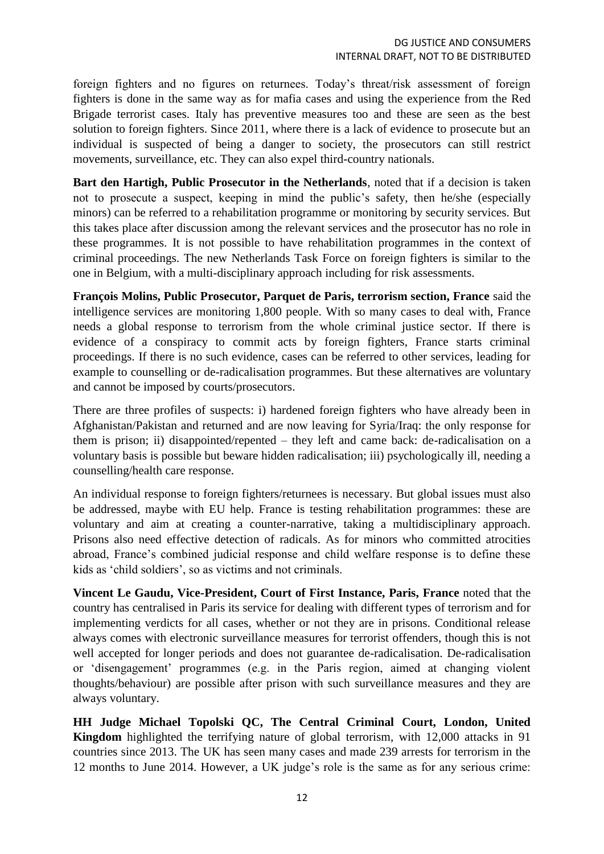foreign fighters and no figures on returnees. Today's threat/risk assessment of foreign fighters is done in the same way as for mafia cases and using the experience from the Red Brigade terrorist cases. Italy has preventive measures too and these are seen as the best solution to foreign fighters. Since 2011, where there is a lack of evidence to prosecute but an individual is suspected of being a danger to society, the prosecutors can still restrict movements, surveillance, etc. They can also expel third-country nationals.

**Bart den Hartigh, Public Prosecutor in the Netherlands**, noted that if a decision is taken not to prosecute a suspect, keeping in mind the public's safety, then he/she (especially minors) can be referred to a rehabilitation programme or monitoring by security services. But this takes place after discussion among the relevant services and the prosecutor has no role in these programmes. It is not possible to have rehabilitation programmes in the context of criminal proceedings. The new Netherlands Task Force on foreign fighters is similar to the one in Belgium, with a multi-disciplinary approach including for risk assessments.

**François Molins, Public Prosecutor, Parquet de Paris, terrorism section, France** said the intelligence services are monitoring 1,800 people. With so many cases to deal with, France needs a global response to terrorism from the whole criminal justice sector. If there is evidence of a conspiracy to commit acts by foreign fighters, France starts criminal proceedings. If there is no such evidence, cases can be referred to other services, leading for example to counselling or de-radicalisation programmes. But these alternatives are voluntary and cannot be imposed by courts/prosecutors.

There are three profiles of suspects: i) hardened foreign fighters who have already been in Afghanistan/Pakistan and returned and are now leaving for Syria/Iraq: the only response for them is prison; ii) disappointed/repented – they left and came back: de-radicalisation on a voluntary basis is possible but beware hidden radicalisation; iii) psychologically ill, needing a counselling/health care response.

An individual response to foreign fighters/returnees is necessary. But global issues must also be addressed, maybe with EU help. France is testing rehabilitation programmes: these are voluntary and aim at creating a counter-narrative, taking a multidisciplinary approach. Prisons also need effective detection of radicals. As for minors who committed atrocities abroad, France's combined judicial response and child welfare response is to define these kids as 'child soldiers', so as victims and not criminals.

**Vincent Le Gaudu, Vice-President, Court of First Instance, Paris, France** noted that the country has centralised in Paris its service for dealing with different types of terrorism and for implementing verdicts for all cases, whether or not they are in prisons. Conditional release always comes with electronic surveillance measures for terrorist offenders, though this is not well accepted for longer periods and does not guarantee de-radicalisation. De-radicalisation or 'disengagement' programmes (e.g. in the Paris region, aimed at changing violent thoughts/behaviour) are possible after prison with such surveillance measures and they are always voluntary.

**HH Judge Michael Topolski QC, The Central Criminal Court, London, United Kingdom** highlighted the terrifying nature of global terrorism, with 12,000 attacks in 91 countries since 2013. The UK has seen many cases and made 239 arrests for terrorism in the 12 months to June 2014. However, a UK judge's role is the same as for any serious crime: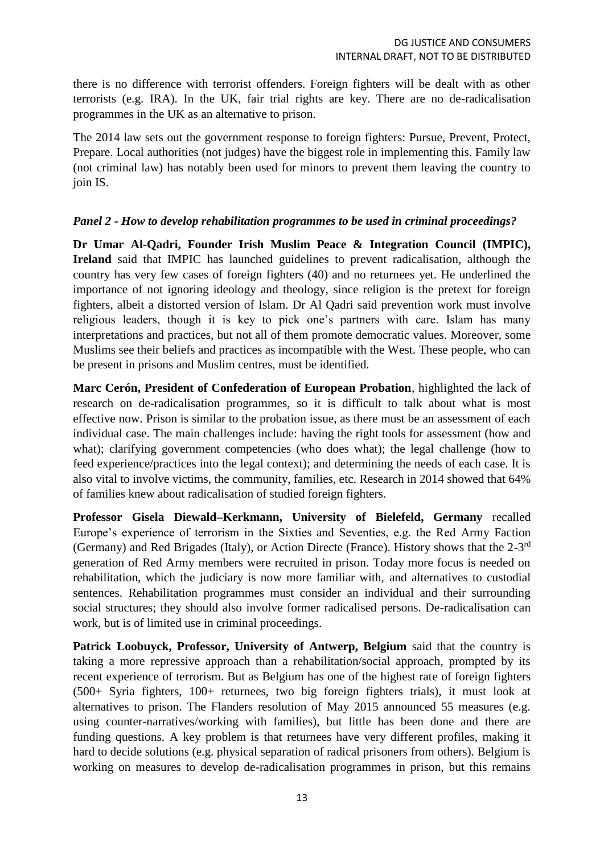there is no difference with terrorist offenders. Foreign fighters will be dealt with as other terrorists (e.g. IRA). In the UK, fair trial rights are key. There are no de-radicalisation programmes in the UK as an alternative to prison.

The 2014 law sets out the government response to foreign fighters: Pursue, Prevent, Protect, Prepare. Local authorities (not judges) have the biggest role in implementing this. Family law (not criminal law) has notably been used for minors to prevent them leaving the country to join IS.

## *Panel 2 - How to develop rehabilitation programmes to be used in criminal proceedings?*

**Dr Umar Al-Qadri, Founder Irish Muslim Peace & Integration Council (IMPIC), Ireland** said that IMPIC has launched guidelines to prevent radicalisation, although the country has very few cases of foreign fighters (40) and no returnees yet. He underlined the importance of not ignoring ideology and theology, since religion is the pretext for foreign fighters, albeit a distorted version of Islam. Dr Al Qadri said prevention work must involve religious leaders, though it is key to pick one's partners with care. Islam has many interpretations and practices, but not all of them promote democratic values. Moreover, some Muslims see their beliefs and practices as incompatible with the West. These people, who can be present in prisons and Muslim centres, must be identified.

**Marc Cerón, President of Confederation of European Probation**, highlighted the lack of research on de-radicalisation programmes, so it is difficult to talk about what is most effective now. Prison is similar to the probation issue, as there must be an assessment of each individual case. The main challenges include: having the right tools for assessment (how and what); clarifying government competencies (who does what); the legal challenge (how to feed experience/practices into the legal context); and determining the needs of each case. It is also vital to involve victims, the community, families, etc. Research in 2014 showed that 64% of families knew about radicalisation of studied foreign fighters.

**Professor Gisela Diewald–Kerkmann, University of Bielefeld, Germany** recalled Europe's experience of terrorism in the Sixties and Seventies, e.g. the Red Army Faction (Germany) and Red Brigades (Italy), or Action Directe (France). History shows that the 2-3<sup>rd</sup> generation of Red Army members were recruited in prison. Today more focus is needed on rehabilitation, which the judiciary is now more familiar with, and alternatives to custodial sentences. Rehabilitation programmes must consider an individual and their surrounding social structures; they should also involve former radicalised persons. De-radicalisation can work, but is of limited use in criminal proceedings.

**Patrick Loobuyck, Professor, University of Antwerp, Belgium** said that the country is taking a more repressive approach than a rehabilitation/social approach, prompted by its recent experience of terrorism. But as Belgium has one of the highest rate of foreign fighters (500+ Syria fighters, 100+ returnees, two big foreign fighters trials), it must look at alternatives to prison. The Flanders resolution of May 2015 announced 55 measures (e.g. using counter-narratives/working with families), but little has been done and there are funding questions. A key problem is that returnees have very different profiles, making it hard to decide solutions (e.g. physical separation of radical prisoners from others). Belgium is working on measures to develop de-radicalisation programmes in prison, but this remains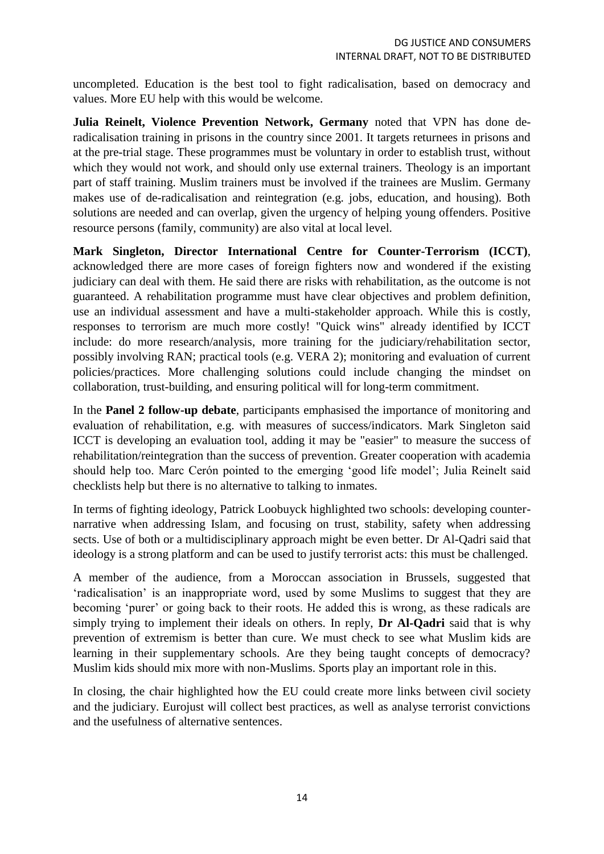uncompleted. Education is the best tool to fight radicalisation, based on democracy and values. More EU help with this would be welcome.

**Julia Reinelt, Violence Prevention Network, Germany** noted that VPN has done deradicalisation training in prisons in the country since 2001. It targets returnees in prisons and at the pre-trial stage. These programmes must be voluntary in order to establish trust, without which they would not work, and should only use external trainers. Theology is an important part of staff training. Muslim trainers must be involved if the trainees are Muslim. Germany makes use of de-radicalisation and reintegration (e.g. jobs, education, and housing). Both solutions are needed and can overlap, given the urgency of helping young offenders. Positive resource persons (family, community) are also vital at local level.

**Mark Singleton, Director International Centre for Counter-Terrorism (ICCT)**, acknowledged there are more cases of foreign fighters now and wondered if the existing judiciary can deal with them. He said there are risks with rehabilitation, as the outcome is not guaranteed. A rehabilitation programme must have clear objectives and problem definition, use an individual assessment and have a multi-stakeholder approach. While this is costly, responses to terrorism are much more costly! "Quick wins" already identified by ICCT include: do more research/analysis, more training for the judiciary/rehabilitation sector, possibly involving RAN; practical tools (e.g. VERA 2); monitoring and evaluation of current policies/practices. More challenging solutions could include changing the mindset on collaboration, trust-building, and ensuring political will for long-term commitment.

In the **Panel 2 follow-up debate**, participants emphasised the importance of monitoring and evaluation of rehabilitation, e.g. with measures of success/indicators. Mark Singleton said ICCT is developing an evaluation tool, adding it may be "easier" to measure the success of rehabilitation/reintegration than the success of prevention. Greater cooperation with academia should help too. Marc Cerón pointed to the emerging 'good life model'; Julia Reinelt said checklists help but there is no alternative to talking to inmates.

In terms of fighting ideology, Patrick Loobuyck highlighted two schools: developing counternarrative when addressing Islam, and focusing on trust, stability, safety when addressing sects. Use of both or a multidisciplinary approach might be even better. Dr Al-Qadri said that ideology is a strong platform and can be used to justify terrorist acts: this must be challenged.

A member of the audience, from a Moroccan association in Brussels, suggested that 'radicalisation' is an inappropriate word, used by some Muslims to suggest that they are becoming 'purer' or going back to their roots. He added this is wrong, as these radicals are simply trying to implement their ideals on others. In reply, **Dr Al-Qadri** said that is why prevention of extremism is better than cure. We must check to see what Muslim kids are learning in their supplementary schools. Are they being taught concepts of democracy? Muslim kids should mix more with non-Muslims. Sports play an important role in this.

In closing, the chair highlighted how the EU could create more links between civil society and the judiciary. Eurojust will collect best practices, as well as analyse terrorist convictions and the usefulness of alternative sentences.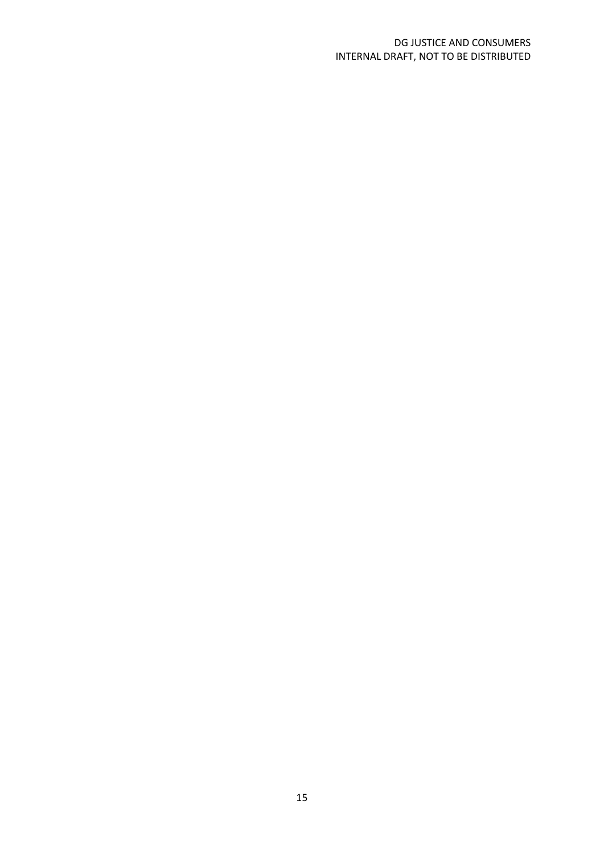## DG JUSTICE AND CONSUMERS INTERNAL DRAFT, NOT TO BE DISTRIBUTED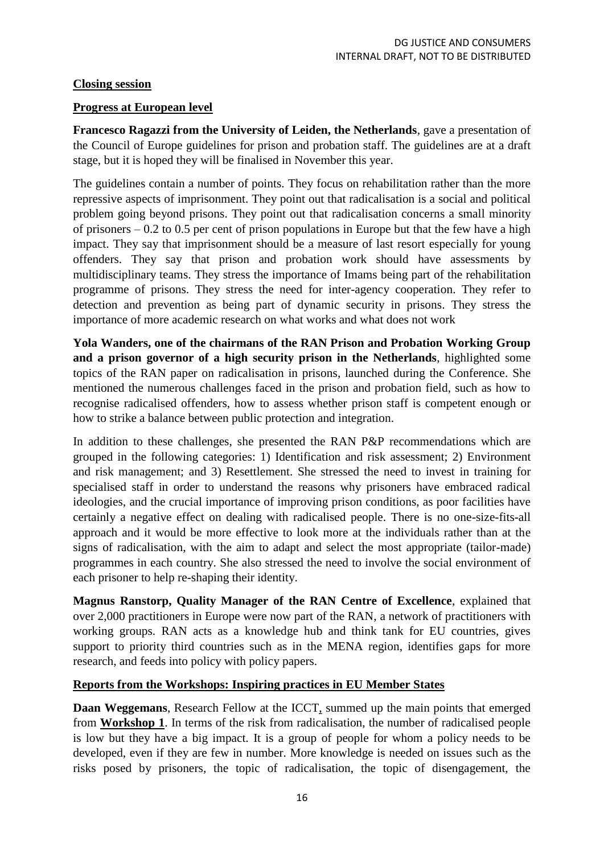## **Closing session**

## **Progress at European level**

**Francesco Ragazzi from the University of Leiden, the Netherlands**, gave a presentation of the Council of Europe guidelines for prison and probation staff. The guidelines are at a draft stage, but it is hoped they will be finalised in November this year.

The guidelines contain a number of points. They focus on rehabilitation rather than the more repressive aspects of imprisonment. They point out that radicalisation is a social and political problem going beyond prisons. They point out that radicalisation concerns a small minority of prisoners  $-0.2$  to 0.5 per cent of prison populations in Europe but that the few have a high impact. They say that imprisonment should be a measure of last resort especially for young offenders. They say that prison and probation work should have assessments by multidisciplinary teams. They stress the importance of Imams being part of the rehabilitation programme of prisons. They stress the need for inter-agency cooperation. They refer to detection and prevention as being part of dynamic security in prisons. They stress the importance of more academic research on what works and what does not work

**Yola Wanders, one of the chairmans of the RAN Prison and Probation Working Group and a prison governor of a high security prison in the Netherlands**, highlighted some topics of the RAN paper on radicalisation in prisons, launched during the Conference. She mentioned the numerous challenges faced in the prison and probation field, such as how to recognise radicalised offenders, how to assess whether prison staff is competent enough or how to strike a balance between public protection and integration.

In addition to these challenges, she presented the RAN P&P recommendations which are grouped in the following categories: 1) Identification and risk assessment; 2) Environment and risk management; and 3) Resettlement. She stressed the need to invest in training for specialised staff in order to understand the reasons why prisoners have embraced radical ideologies, and the crucial importance of improving prison conditions, as poor facilities have certainly a negative effect on dealing with radicalised people. There is no one-size-fits-all approach and it would be more effective to look more at the individuals rather than at the signs of radicalisation, with the aim to adapt and select the most appropriate (tailor-made) programmes in each country. She also stressed the need to involve the social environment of each prisoner to help re-shaping their identity.

**Magnus Ranstorp, Quality Manager of the RAN Centre of Excellence**, explained that over 2,000 practitioners in Europe were now part of the RAN, a network of practitioners with working groups. RAN acts as a knowledge hub and think tank for EU countries, gives support to priority third countries such as in the MENA region, identifies gaps for more research, and feeds into policy with policy papers.

#### **Reports from the Workshops: Inspiring practices in EU Member States**

**Daan Weggemans**, Research Fellow at the ICCT, summed up the main points that emerged from **Workshop 1**. In terms of the risk from radicalisation, the number of radicalised people is low but they have a big impact. It is a group of people for whom a policy needs to be developed, even if they are few in number. More knowledge is needed on issues such as the risks posed by prisoners, the topic of radicalisation, the topic of disengagement, the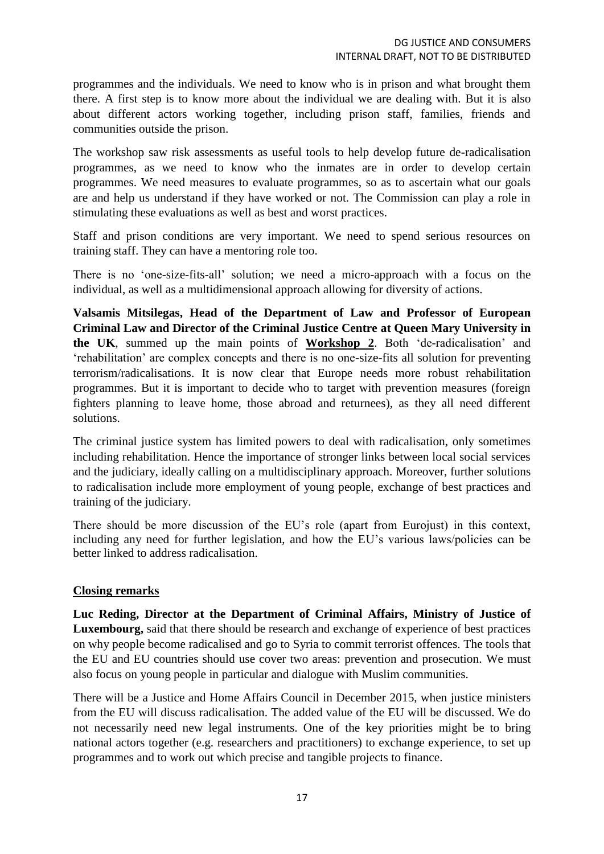programmes and the individuals. We need to know who is in prison and what brought them there. A first step is to know more about the individual we are dealing with. But it is also about different actors working together, including prison staff, families, friends and communities outside the prison.

The workshop saw risk assessments as useful tools to help develop future de-radicalisation programmes, as we need to know who the inmates are in order to develop certain programmes. We need measures to evaluate programmes, so as to ascertain what our goals are and help us understand if they have worked or not. The Commission can play a role in stimulating these evaluations as well as best and worst practices.

Staff and prison conditions are very important. We need to spend serious resources on training staff. They can have a mentoring role too.

There is no 'one-size-fits-all' solution; we need a micro-approach with a focus on the individual, as well as a multidimensional approach allowing for diversity of actions.

**Valsamis Mitsilegas, Head of the Department of Law and Professor of European Criminal Law and Director of the Criminal Justice Centre at Queen Mary University in the UK**, summed up the main points of **Workshop 2**. Both 'de-radicalisation' and 'rehabilitation' are complex concepts and there is no one-size-fits all solution for preventing terrorism/radicalisations. It is now clear that Europe needs more robust rehabilitation programmes. But it is important to decide who to target with prevention measures (foreign fighters planning to leave home, those abroad and returnees), as they all need different solutions.

The criminal justice system has limited powers to deal with radicalisation, only sometimes including rehabilitation. Hence the importance of stronger links between local social services and the judiciary, ideally calling on a multidisciplinary approach. Moreover, further solutions to radicalisation include more employment of young people, exchange of best practices and training of the judiciary.

There should be more discussion of the EU's role (apart from Eurojust) in this context, including any need for further legislation, and how the EU's various laws/policies can be better linked to address radicalisation.

## **Closing remarks**

**Luc Reding, Director at the Department of Criminal Affairs, Ministry of Justice of Luxembourg,** said that there should be research and exchange of experience of best practices on why people become radicalised and go to Syria to commit terrorist offences. The tools that the EU and EU countries should use cover two areas: prevention and prosecution. We must also focus on young people in particular and dialogue with Muslim communities.

There will be a Justice and Home Affairs Council in December 2015, when justice ministers from the EU will discuss radicalisation. The added value of the EU will be discussed. We do not necessarily need new legal instruments. One of the key priorities might be to bring national actors together (e.g. researchers and practitioners) to exchange experience, to set up programmes and to work out which precise and tangible projects to finance.